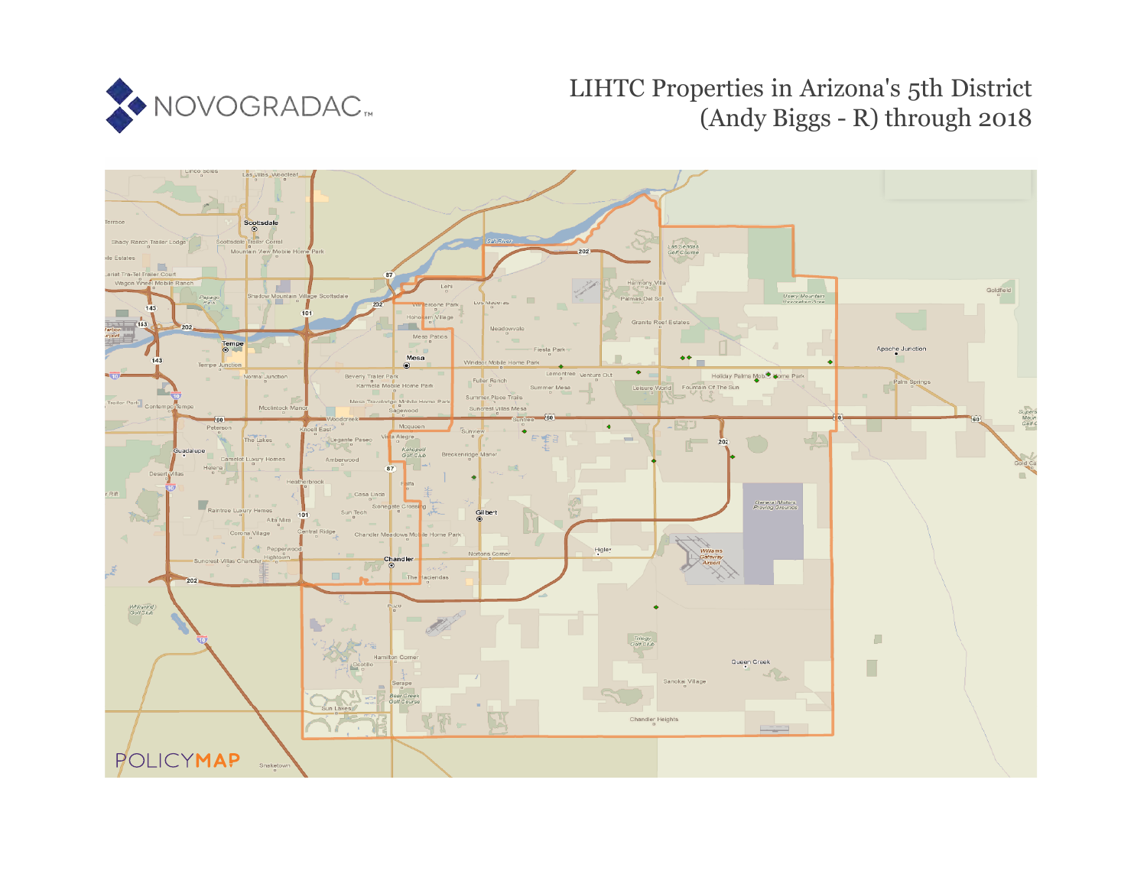

## LIHTC Properties in Arizona's 5th District (Andy Biggs - R) through 2018

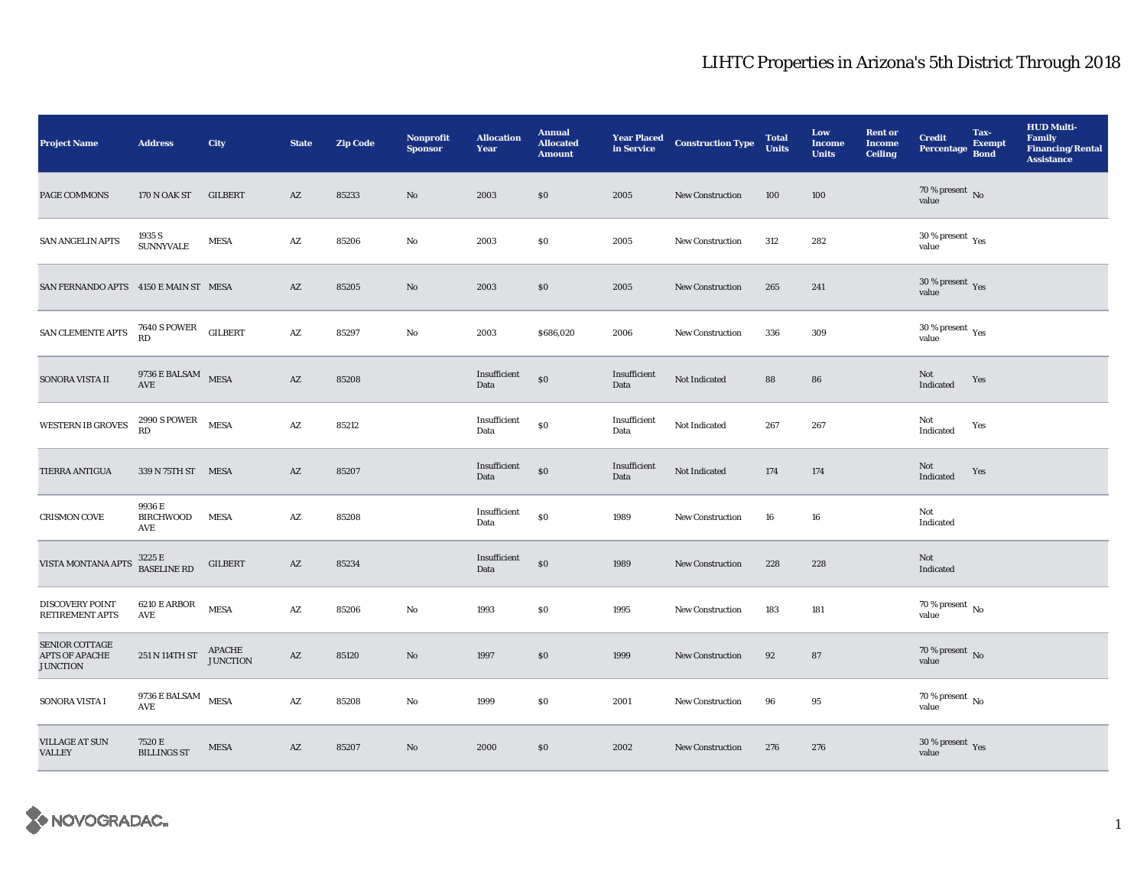## LIHTC Properties in Arizona's 5th District Through 2018

| <b>Project Name</b>                                 | <b>Address</b>                                      | <b>City</b>               | <b>State</b>           | <b>Zip Code</b> | <b>Nonprofit</b><br><b>Sponsor</b> | <b>Allocation</b><br>Year | <b>Annual</b><br><b>Allocated</b><br><b>Amount</b> | <b>Year Placed<br/>in Service</b> | <b>Construction Type</b> | <b>Total</b><br><b>Units</b> | Low<br><b>Income</b><br><b>Units</b> | <b>Rent or</b><br><b>Income</b><br><b>Ceiling</b> | <b>Credit</b><br><b>Percentage</b> | Tax-<br><b>Exempt</b><br><b>Bond</b> | <b>HUD Multi-</b><br><b>Family</b><br><b>Financing/Rental</b><br><b>Assistance</b> |
|-----------------------------------------------------|-----------------------------------------------------|---------------------------|------------------------|-----------------|------------------------------------|---------------------------|----------------------------------------------------|-----------------------------------|--------------------------|------------------------------|--------------------------------------|---------------------------------------------------|------------------------------------|--------------------------------------|------------------------------------------------------------------------------------|
| PAGE COMMONS                                        | 170 N OAK ST                                        | <b>GILBERT</b>            | AZ                     | 85233           | $\mathbf{N}\mathbf{o}$             | 2003                      | \$0                                                | 2005                              | <b>New Construction</b>  | 100                          | 100                                  |                                                   | $70$ % present $\,$ No value       |                                      |                                                                                    |
| SAN ANGELIN APTS                                    | 1935 S<br><b>SUNNYVALE</b>                          | <b>MESA</b>               | $\mathbf{A}\mathbf{Z}$ | 85206           | No                                 | 2003                      | \$0\$                                              | 2005                              | <b>New Construction</b>  | 312                          | 282                                  |                                                   | $30\,\%$ present $\,$ Yes value    |                                      |                                                                                    |
| SAN FERNANDO APTS 4150 E MAIN ST MESA               |                                                     |                           | AZ                     | 85205           | No                                 | 2003                      | \$0\$                                              | 2005                              | <b>New Construction</b>  | 265                          | 241                                  |                                                   | $30\,\%$ present $\,$ Yes value    |                                      |                                                                                    |
| SAN CLEMENTE APTS                                   | $7640$ S POWER $\quad$ GILBERT RD                   |                           | $\mathbf{A}\mathbf{Z}$ | 85297           | No                                 | 2003                      | \$686,020                                          | 2006                              | <b>New Construction</b>  | 336                          | 309                                  |                                                   | $30\,\%$ present $\,$ Yes value    |                                      |                                                                                    |
| SONORA VISTA II                                     | $9736 \to \text{BALSAM}$ MESA AVE                   |                           | $\mathbf{A}\mathbf{Z}$ | 85208           |                                    | Insufficient<br>Data      | \$0                                                | Insufficient<br>Data              | Not Indicated            | 88                           | 86                                   |                                                   | Not<br>Indicated                   | Yes                                  |                                                                                    |
| <b>WESTERN IB GROVES</b>                            | $2990$ S POWER $$\tt{MES}$                          |                           | $\mathbf{A}\mathbf{Z}$ | 85212           |                                    | Insufficient<br>Data      | $\$0$                                              | Insufficient<br>Data              | Not Indicated            | 267                          | 267                                  |                                                   | Not<br>Indicated                   | Yes                                  |                                                                                    |
| <b>TIERRA ANTIGUA</b>                               | 339 N 75TH ST MESA                                  |                           | AZ                     | 85207           |                                    | Insufficient<br>Data      | $\$0$                                              | Insufficient<br>Data              | Not Indicated            | 174                          | 174                                  |                                                   | Not<br>Indicated                   | Yes                                  |                                                                                    |
| <b>CRISMON COVE</b>                                 | 9936 E<br>BIRCHWOOD<br>AVE                          | <b>MESA</b>               | AZ                     | 85208           |                                    | Insufficient<br>Data      | \$0                                                | 1989                              | <b>New Construction</b>  | 16                           | 16                                   |                                                   | Not<br>Indicated                   |                                      |                                                                                    |
| VISTA MONTANA APTS                                  | $3225\,\mathrm{E}$ BASELINE RD                      | <b>GILBERT</b>            | AZ                     | 85234           |                                    | Insufficient<br>Data      | \$0                                                | 1989                              | New Construction         | 228                          | 228                                  |                                                   | Not<br>Indicated                   |                                      |                                                                                    |
| <b>DISCOVERY POINT</b><br>RETIREMENT APTS           | 6210 E ARBOR<br>AVE                                 | <b>MESA</b>               | AZ                     | 85206           | No                                 | 1993                      | \$0                                                | 1995                              | <b>New Construction</b>  | 183                          | 181                                  |                                                   | 70 % present $\,$ No $\,$<br>value |                                      |                                                                                    |
| SENIOR COTTAGE<br>APTS OF APACHE<br><b>JUNCTION</b> | 251 N 114TH ST                                      | APACHE<br><b>JUNCTION</b> | AZ                     | 85120           | $\mathbf{N}\mathbf{o}$             | 1997                      | \$0                                                | 1999                              | <b>New Construction</b>  | 92                           | 87                                   |                                                   | $70$ % present $\,$ No value       |                                      |                                                                                    |
| SONORA VISTA I                                      | 9736 E BALSAM MESA<br>$\operatorname{\mathsf{AVE}}$ |                           | $\mathbf{A}\mathbf{Z}$ | 85208           | No                                 | 1999                      | \$0                                                | 2001                              | <b>New Construction</b>  | 96                           | 95                                   |                                                   | 70 % present $\,$ No $\,$<br>value |                                      |                                                                                    |
| <b>VILLAGE AT SUN</b><br><b>VALLEY</b>              | 7520 E<br><b>BILLINGS ST</b>                        | <b>MESA</b>               | AZ                     | 85207           | No                                 | 2000                      | $\$0$                                              | 2002                              | <b>New Construction</b>  | 276                          | 276                                  |                                                   | $30\,\%$ present $\,$ Yes value    |                                      |                                                                                    |